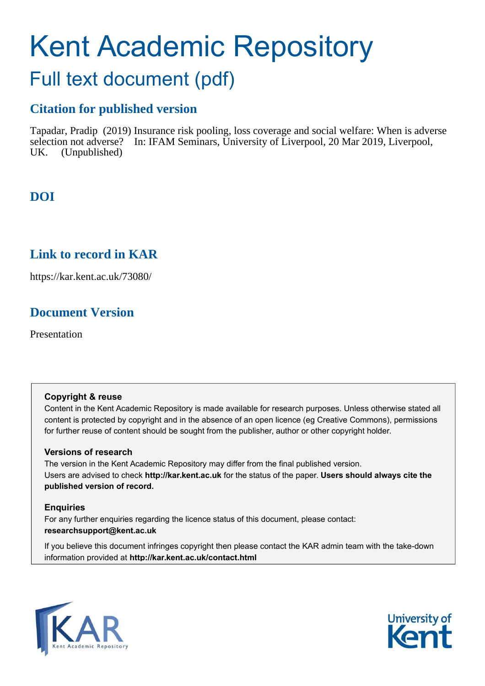# <span id="page-0-0"></span>Kent Academic Repository Full text document (pdf)

## **Citation for published version**

Tapadar, Pradip (2019) Insurance risk pooling, loss coverage and social welfare: When is adverse selection not adverse? In: IFAM Seminars, University of Liverpool, 20 Mar 2019, Liverpool, UK. (Unpublished)

## **DOI**

### **Link to record in KAR**

https://kar.kent.ac.uk/73080/

## **Document Version**

Presentation

#### **Copyright & reuse**

Content in the Kent Academic Repository is made available for research purposes. Unless otherwise stated all content is protected by copyright and in the absence of an open licence (eg Creative Commons), permissions for further reuse of content should be sought from the publisher, author or other copyright holder.

#### **Versions of research**

The version in the Kent Academic Repository may differ from the final published version. Users are advised to check **http://kar.kent.ac.uk** for the status of the paper. **Users should always cite the published version of record.**

#### **Enquiries**

For any further enquiries regarding the licence status of this document, please contact: **researchsupport@kent.ac.uk**

If you believe this document infringes copyright then please contact the KAR admin team with the take-down information provided at **http://kar.kent.ac.uk/contact.html**



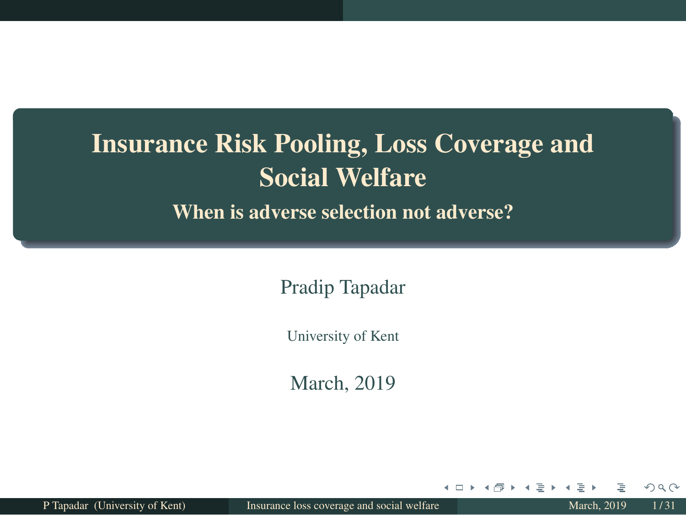## <span id="page-1-0"></span>Insurance Risk Pooling, Loss Coverage and Social Welfare

When is adverse selection not adverse?

Pradip Tapadar

University of Kent

March, 2019

P Tapadar (University of Kent) [Insurance loss coverage and social welfare](#page-30-0) March, 2019 1/31

 $\leftarrow$   $\Box$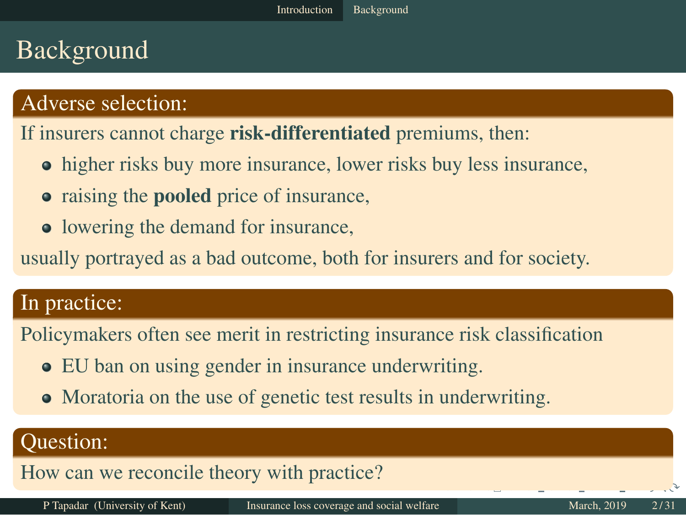### <span id="page-2-0"></span>Background

#### Adverse selection:

If insurers cannot charge **risk-differentiated** premiums, then:

- higher risks buy more insurance, lower risks buy less insurance,
- raising the **pooled** price of insurance,
- lowering the demand for insurance,

usually portrayed as a bad outcome, both for insurers and for society.

#### In practice:

Policymakers often see merit in restricting insurance risk classification

- EU ban on using gender in insurance underwriting.
- Moratoria on the use of genetic test results in underwriting.

#### Question:

How can we reconcile theory with practice?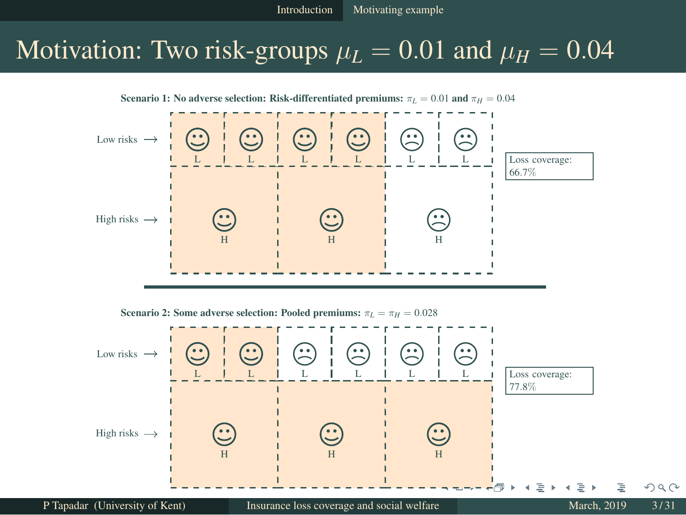### <span id="page-3-0"></span>Motivation: Two risk-groups  $\mu_L = 0.01$  and  $\mu_H = 0.04$



Scenario 2: Some adverse selection: Pooled premiums:  $\pi_L = \pi_H = 0.028$ 

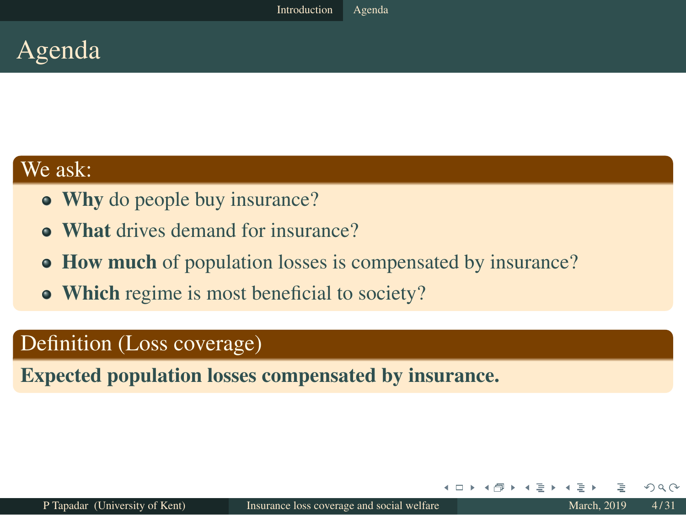<span id="page-4-0"></span>

#### We ask:

- Why do people buy insurance?
- What drives demand for insurance?
- How much of population losses is compensated by insurance?
- Which regime is most beneficial to society?

#### Definition (Loss coverage)

Expected population losses compensated by insurance.

+ □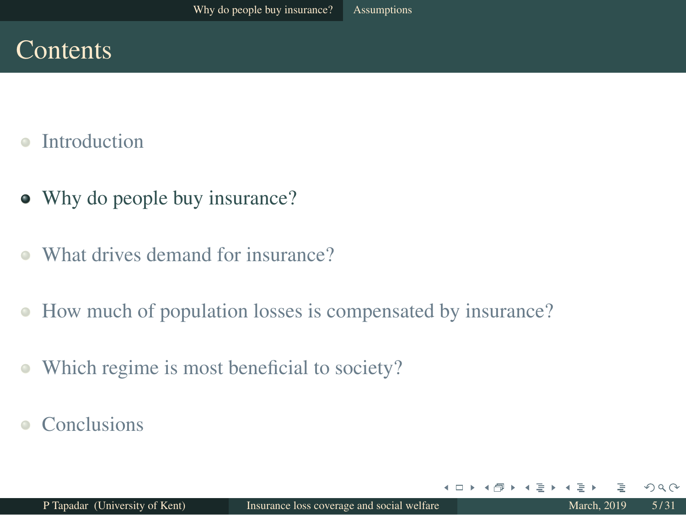### **Contents**

- [Introduction](#page-1-0)  $\triangle$
- [Why do people buy insurance?](#page-4-0)
- [What drives demand for insurance?](#page-10-0)  $\bullet$
- [How much of population losses is compensated by insurance?](#page-16-0)  $\bullet$
- [Which regime is most beneficial to society?](#page-25-0)  $\bullet$
- **[Conclusions](#page-28-0)**

 $\leftarrow$   $\Box$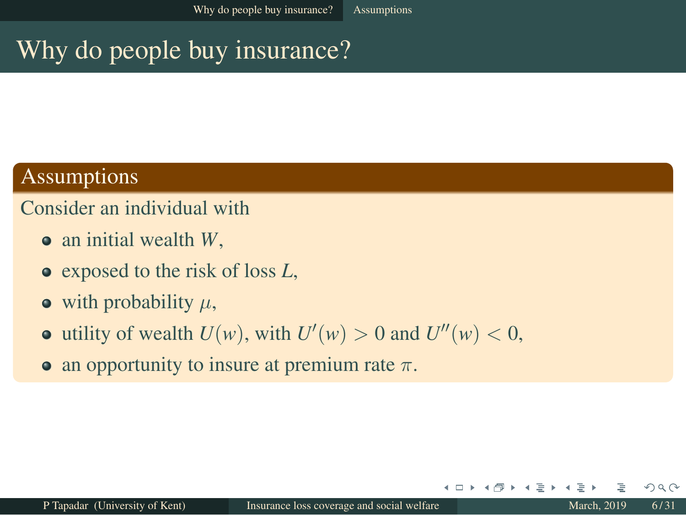### <span id="page-6-0"></span>Why do people buy insurance?

#### Assumptions

#### Consider an individual with

- an initial wealth *W*,
- exposed to the risk of loss *L*,
- $\bullet$  with probability  $\mu$ ,
- utility of wealth  $U(w)$ , with  $U'(w) > 0$  and  $U''(w) < 0$ ,
- an opportunity to insure at premium rate  $\pi$ .

+ □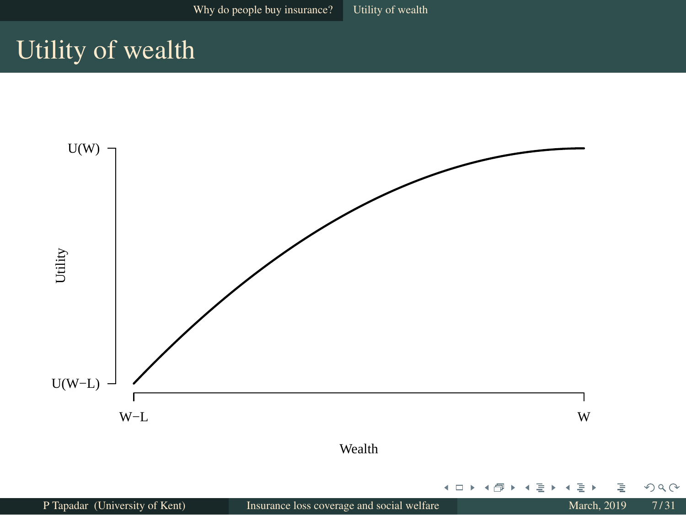### <span id="page-7-0"></span>Utility of wealth

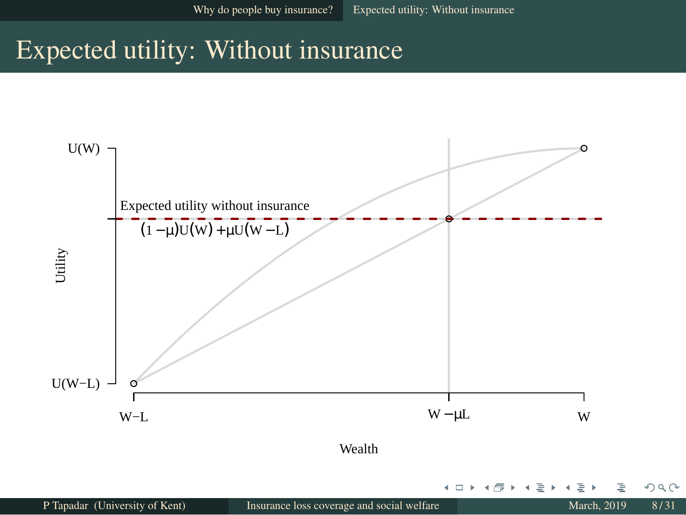### <span id="page-8-0"></span>Expected utility: Without insurance



4 □ ▶

∍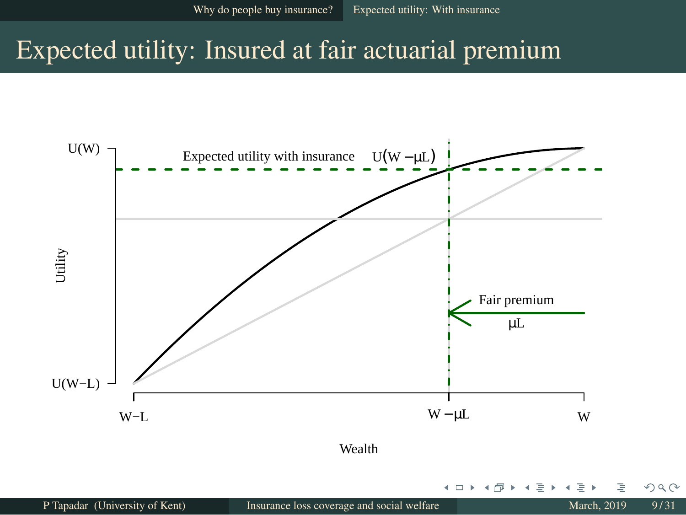### <span id="page-9-0"></span>Expected utility: Insured at fair actuarial premium



+ □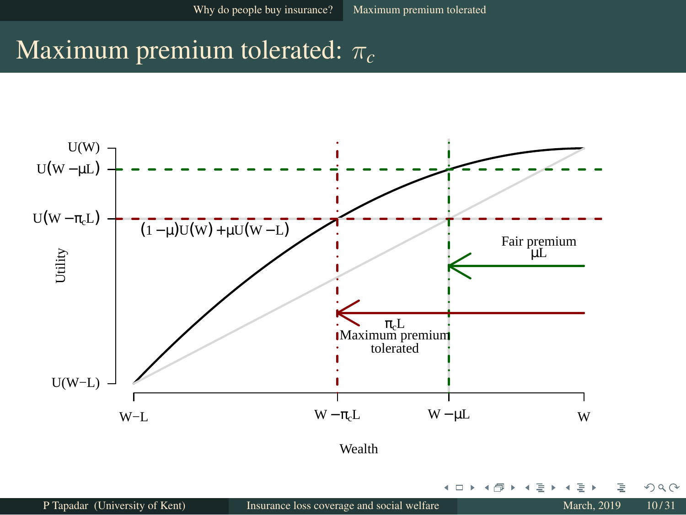### <span id="page-10-0"></span>Maximum premium tolerated: π*<sup>c</sup>*



4 □ ▶

Þ ×. 舌

 $\overline{4}$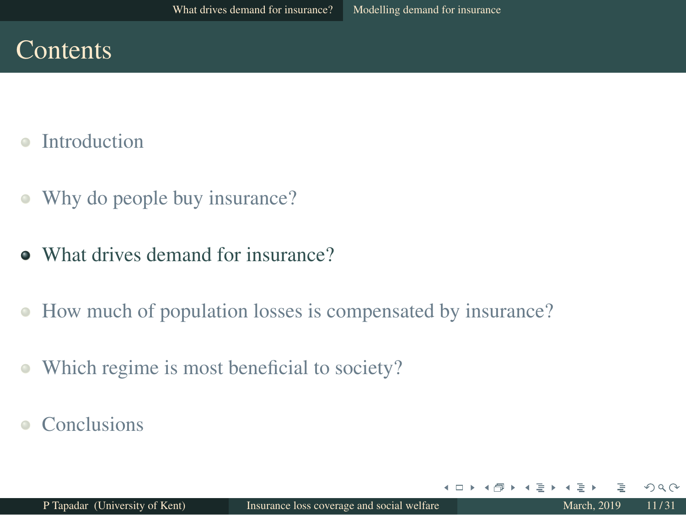### **Contents**

- [Introduction](#page-1-0)  $\triangle$
- [Why do people buy insurance?](#page-4-0)  $\bullet$
- [What drives demand for insurance?](#page-10-0)
- [How much of population losses is compensated by insurance?](#page-16-0)  $\bullet$
- [Which regime is most beneficial to society?](#page-25-0)  $\bullet$
- **[Conclusions](#page-28-0)**

 $\leftarrow$   $\Box$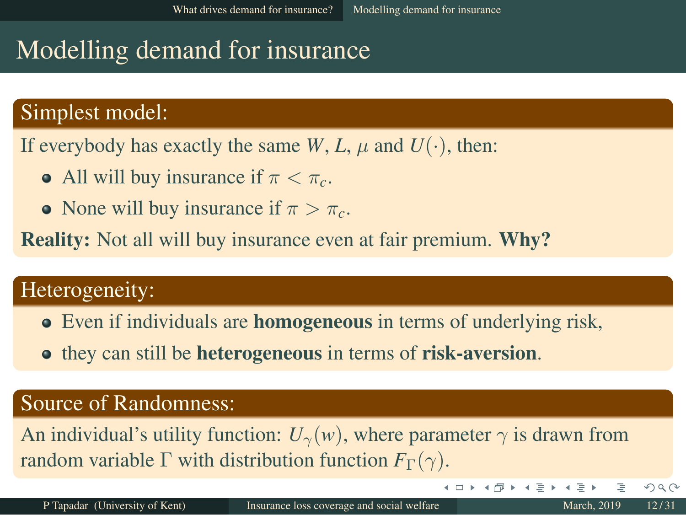### <span id="page-12-0"></span>Modelling demand for insurance

#### Simplest model:

If everybody has exactly the same *W*, *L*,  $\mu$  and  $U(\cdot)$ , then:

- All will buy insurance if  $\pi < \pi_c$ .
- None will buy insurance if  $\pi > \pi_c$ .

**Reality:** Not all will buy insurance even at fair premium. **Why?** 

#### Heterogeneity:

- Even if individuals are **homogeneous** in terms of underlying risk,
- **•** they can still be **heterogeneous** in terms of **risk-aversion**.

#### Source of Randomness:

An individual's utility function:  $U_{\gamma}(w)$ , where parameter  $\gamma$  is drawn from random variable  $\Gamma$  with distribution function  $F_{\Gamma}(\gamma)$ .

**∢ □ ▶ ⊣ 何 ▶** 

 $\rightarrow$   $\equiv$   $\rightarrow$   $\rightarrow$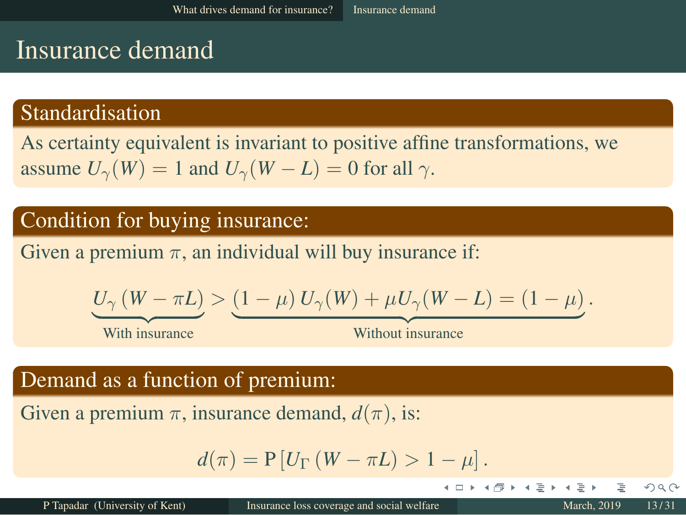### Insurance demand

#### Standardisation

As certainty equivalent is invariant to positive affine transformations, we assume  $U_{\gamma}(W) = 1$  and  $U_{\gamma}(W - L) = 0$  for all  $\gamma$ .

#### Condition for buying insurance:

Given a premium  $\pi$ , an individual will buy insurance if:

$$
\underbrace{U_{\gamma}\left(W-\pi L\right)}_{\text{With insurance}} > \underbrace{\left(1-\mu\right)U_{\gamma}(W)+\mu U_{\gamma}(W-L)=\left(1-\mu\right)}_{\text{Without insurance}}.
$$

With insurance

4 . . . . **.** 

#### Demand as a function of premium:

Given a premium  $\pi$ , insurance demand,  $d(\pi)$ , is:

$$
d(\pi) = P[U_{\Gamma}(W - \pi L) > 1 - \mu].
$$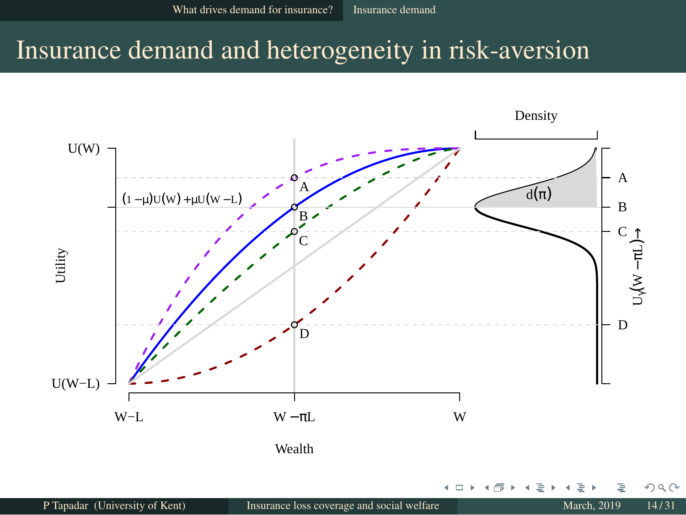### <span id="page-14-0"></span>Insurance demand and heterogeneity in risk-aversion

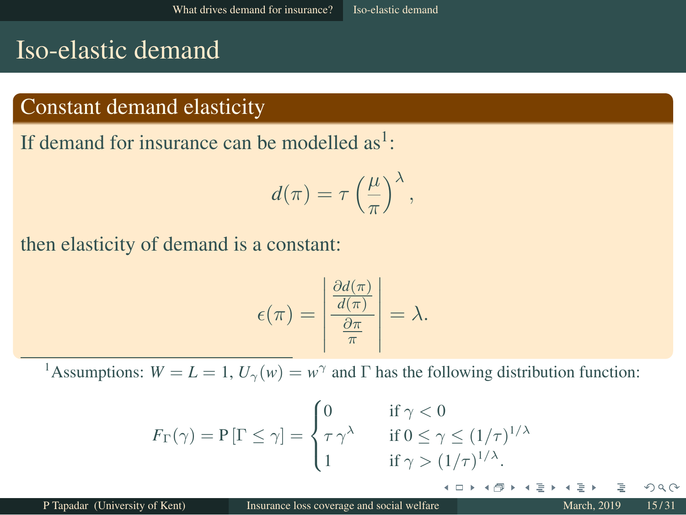### <span id="page-15-0"></span>Iso-elastic demand

#### Constant demand elasticity

If demand for insurance can be modelled  $as<sup>1</sup>$ :

$$
d(\pi) = \tau \left(\frac{\mu}{\pi}\right)^{\lambda},
$$

then elasticity of demand is a constant:

$$
\epsilon(\pi) = \left| \frac{\frac{\partial d(\pi)}{d(\pi)}}{\frac{\partial \pi}{\pi}} \right| = \lambda.
$$

<sup>1</sup>Assumptions:  $W = L = 1$ ,  $U_{\gamma}(w) = w^{\gamma}$  and  $\Gamma$  has the following distribution function:

$$
F_{\Gamma}(\gamma) = P[\Gamma \le \gamma] = \begin{cases} 0 & \text{if } \gamma < 0 \\ \tau \gamma^{\lambda} & \text{if } 0 \le \gamma \le (1/\tau)^{1/\lambda} \\ 1 & \text{if } \gamma > (1/\tau)^{1/\lambda}. \end{cases}
$$

4 □ ▶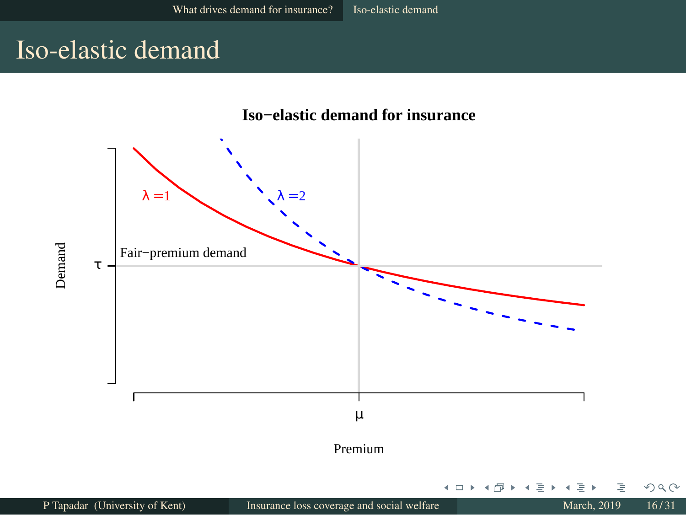### <span id="page-16-0"></span>Iso-elastic demand

#### **Iso−elastic demand for insurance**

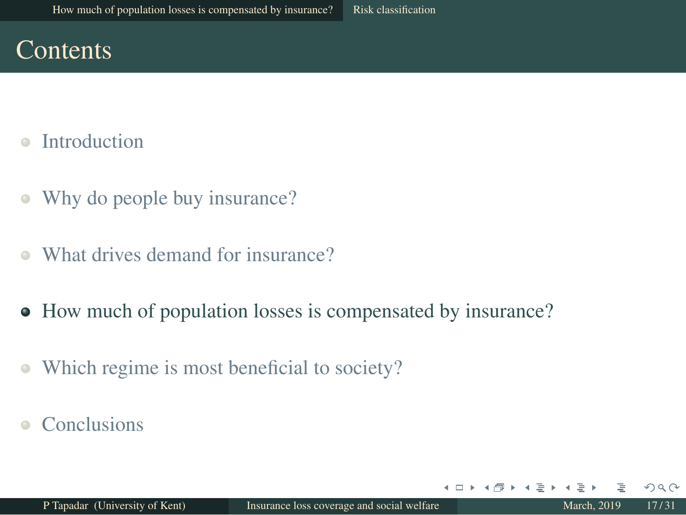### **Contents**

- [Introduction](#page-1-0)
- [Why do people buy insurance?](#page-4-0)  $\bullet$
- [What drives demand for insurance?](#page-10-0)  $\bullet$
- [How much of population losses is compensated by insurance?](#page-16-0)
- [Which regime is most beneficial to society?](#page-25-0)  $\bullet$
- **[Conclusions](#page-28-0)**

 $\leftarrow$   $\Box$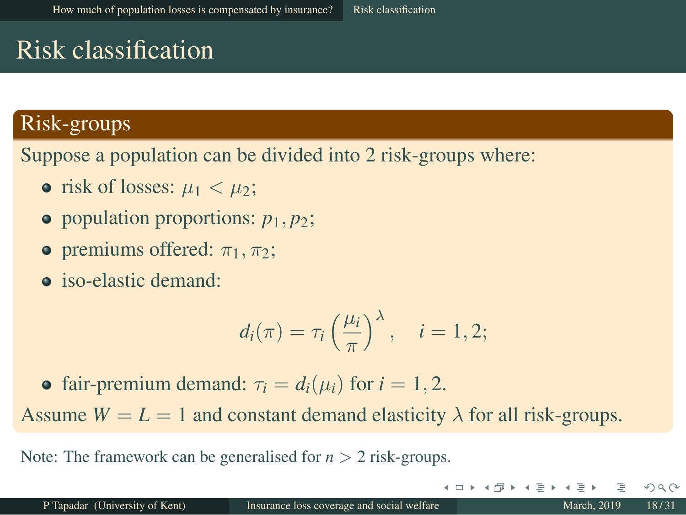### <span id="page-18-0"></span>Risk classification

#### Risk-groups

Suppose a population can be divided into 2 risk-groups where:

- risk of losses:  $\mu_1 < \mu_2$ ;
- population proportions:  $p_1, p_2$ ;
- **•** premiums offered:  $\pi_1$ ,  $\pi_2$ ;
- **o** iso-elastic demand:

$$
d_i(\pi) = \tau_i \left(\frac{\mu_i}{\pi}\right)^{\lambda}, \quad i = 1, 2;
$$

• fair-premium demand:  $\tau_i = d_i(\mu_i)$  for  $i = 1, 2$ . Assume  $W = L = 1$  and constant demand elasticity  $\lambda$  for all risk-groups.

Note: The framework can be generalised for *n* > 2 risk-groups.

4 O F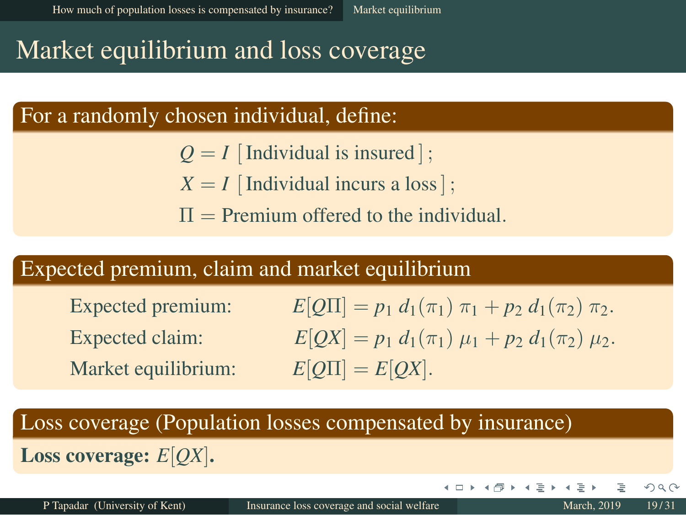### <span id="page-19-0"></span>Market equilibrium and loss coverage

#### For a randomly chosen individual, define:

- $Q = I$  [Individual is insured];
- $X = I$  [Individual incurs a loss];
- $\Pi$  = Premium offered to the individual.

#### Expected premium, claim and market equilibrium

Market equilibrium:  $E[Q\Pi] = E[QX]$ .

Expected premium:  $E[Q\Pi] = p_1 d_1(\pi_1) \pi_1 + p_2 d_1(\pi_2) \pi_2$ . Expected claim:  $E[QX] = p_1 d_1(\pi_1) \mu_1 + p_2 d_1(\pi_2) \mu_2$ .

4 □ ▶

#### Loss coverage (Population losses compensated by insurance)

Loss coverage: *E*[*QX*].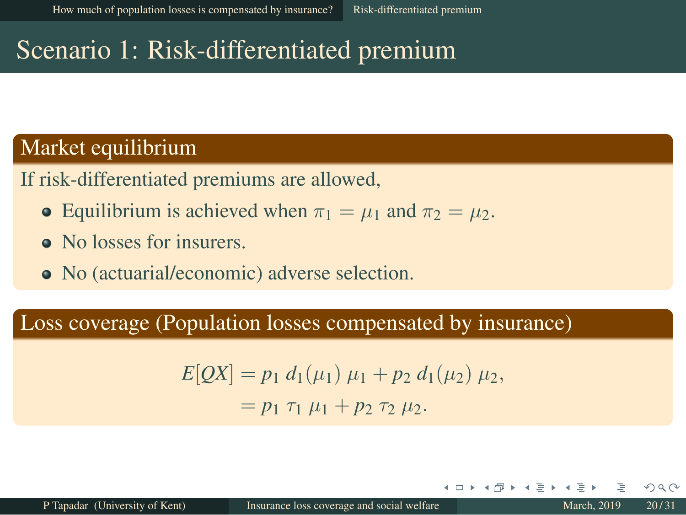### <span id="page-20-0"></span>Scenario 1: Risk-differentiated premium

#### Market equilibrium

If risk-differentiated premiums are allowed,

- Equilibrium is achieved when  $\pi_1 = \mu_1$  and  $\pi_2 = \mu_2$ .
- No losses for insurers.
- No (actuarial/economic) adverse selection.

#### Loss coverage (Population losses compensated by insurance)

$$
E[QX] = p_1 d_1(\mu_1) \mu_1 + p_2 d_1(\mu_2) \mu_2,
$$
  
=  $p_1 \tau_1 \mu_1 + p_2 \tau_2 \mu_2.$ 

+ □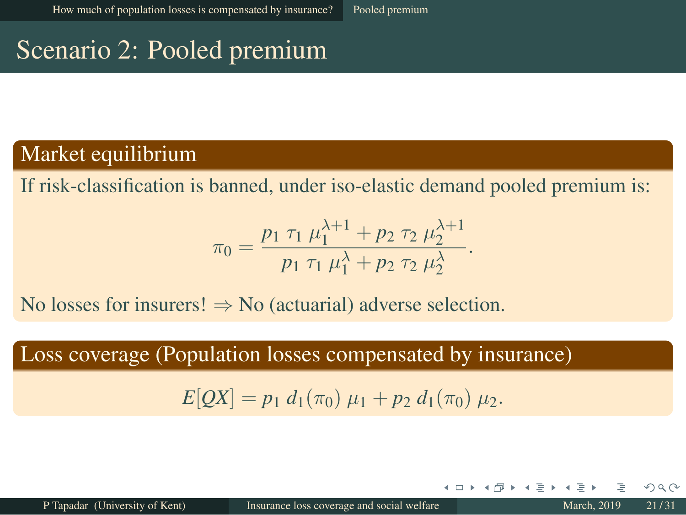### <span id="page-21-0"></span>Scenario 2: Pooled premium

#### Market equilibrium

If risk-classification is banned, under iso-elastic demand pooled premium is:

$$
\pi_0 = \frac{p_1 \tau_1 \mu_1^{\lambda+1} + p_2 \tau_2 \mu_2^{\lambda+1}}{p_1 \tau_1 \mu_1^{\lambda} + p_2 \tau_2 \mu_2^{\lambda}}.
$$

No losses for insurers!  $\Rightarrow$  No (actuarial) adverse selection.

Loss coverage (Population losses compensated by insurance)

 $E[OX] = p_1 d_1(\pi_0) \mu_1 + p_2 d_1(\pi_0) \mu_2.$ 

+ □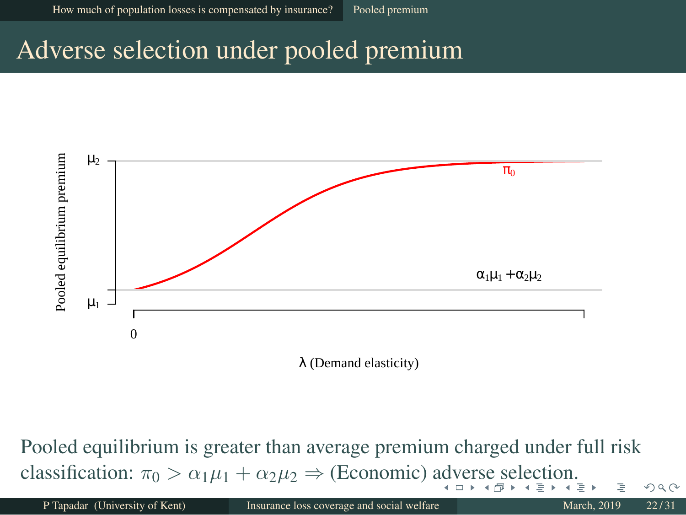### <span id="page-22-0"></span>Adverse selection under pooled premium



λ (Demand elasticity)

Pooled equilibrium is greater than average premium charged under full risk cla[s](#page-20-0)sifi[c](#page-20-0)a[ti](#page-22-0)[o](#page-23-0)[n](#page-15-0):  $\pi_0 > \alpha_1 \mu_1 + \alpha_2 \mu_2 \Rightarrow$  (Economic) [adv](#page-20-0)[er](#page-22-0)s[e s](#page-21-0)[e](#page-22-0)[le](#page-19-0)ction[.](#page-16-0)  $QQ$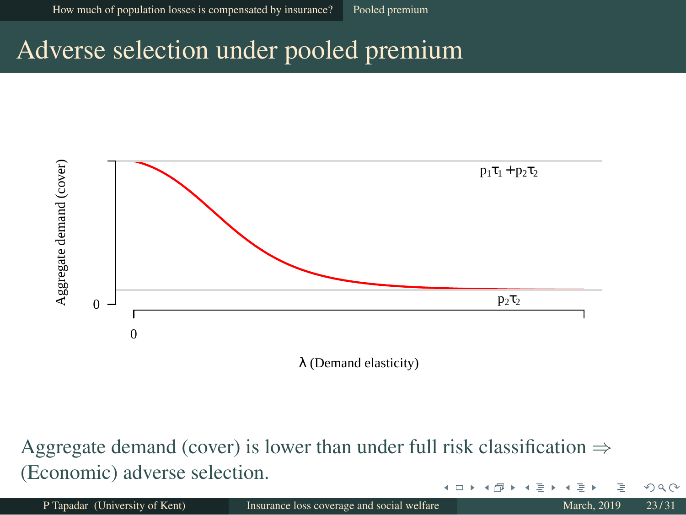### <span id="page-23-0"></span>Adverse selection under pooled premium



Aggregate demand (cover) is lower than under full risk classification  $\Rightarrow$ (Economic) adverse selection.  $\leftarrow$   $\Box$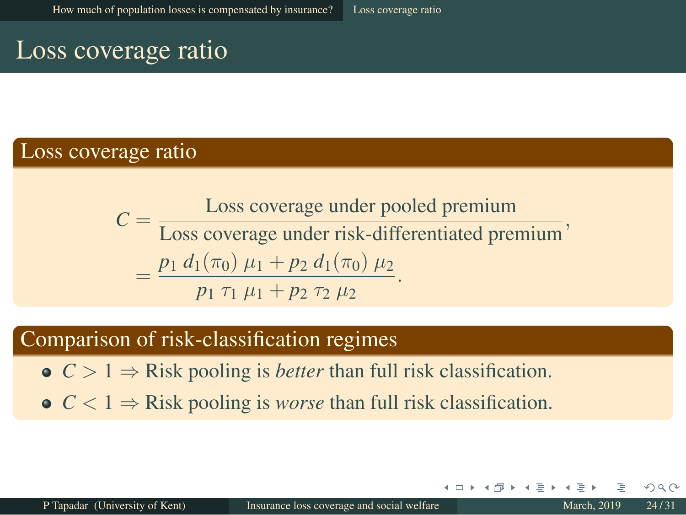#### <span id="page-24-0"></span>Loss coverage ratio

#### Loss coverage ratio

 $C =$  Loss coverage under pooled premium **Loss coverage under risk-differentiated premium**  $=\frac{p_1 d_1(\pi_0) \mu_1 + p_2 d_1(\pi_0) \mu_2}{\sigma_1}$  $p_1 \tau_1 \mu_1 + p_2 \tau_2 \mu_2$ .<br> *p*<sub>1</sub>  $\tau_1 \mu_1 + p_2 \tau_2 \mu_2$ .

#### Comparison of risk-classification regimes

- $C > 1 \Rightarrow$  Risk pooling is *better* than full risk classification.
- $C < 1 \Rightarrow$  Risk pooling is *worse* than full risk classification.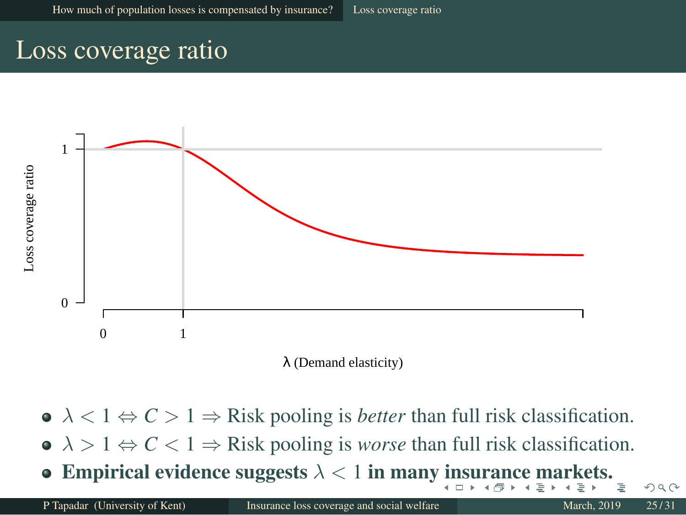#### <span id="page-25-0"></span>Loss coverage ratio



- $\lambda < 1 \Leftrightarrow C > 1 \Rightarrow$  Risk pooling is *better* than full risk classification.
- $\lambda > 1 \Leftrightarrow C < 1 \Rightarrow$  Risk pooling is *worse* than full risk classification.
- Empirical evidence [su](#page-25-0)gg[e](#page-24-0)sts $\lambda < 1$  $\lambda < 1$  $\lambda < 1$  $\lambda < 1$  $\lambda < 1$  in man[y in](#page-23-0)su[r](#page-15-0)[an](#page-24-0)[c](#page-25-0)e mar[k](#page-16-0)e[t](#page-25-0)[s.](#page-0-0)  $\bullet$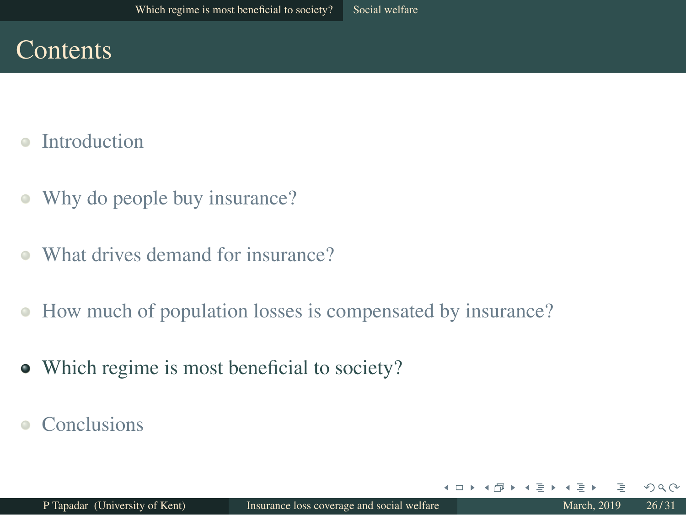### **Contents**

- [Introduction](#page-1-0)  $\triangle$
- [Why do people buy insurance?](#page-4-0)  $\bullet$
- [What drives demand for insurance?](#page-10-0)  $\bullet$
- [How much of population losses is compensated by insurance?](#page-16-0)  $\bullet$
- [Which regime is most beneficial to society?](#page-25-0)
- **[Conclusions](#page-28-0)**

 $\leftarrow$   $\Box$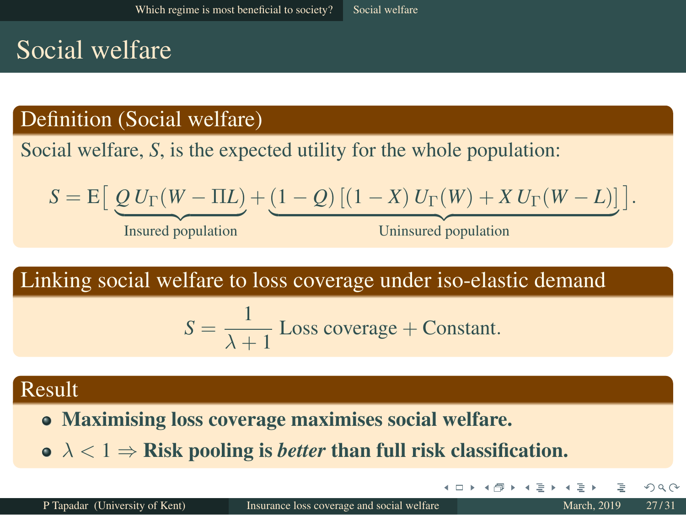### Social welfare

#### Definition (Social welfare)

Social welfare, *S*, is the expected utility for the whole population:

$$
S = E\left[\underline{Q} U_{\Gamma}(W - \Pi L) + (1 - Q) [(1 - X) U_{\Gamma}(W) + X U_{\Gamma}(W - L)]\right].
$$

Insured population

Uninsured population

4 O F

Linking social welfare to loss coverage under iso-elastic demand

$$
S = \frac{1}{\lambda + 1}
$$
 Loss coverage + Constant.

#### Result

- Maximising loss coverage maximises social welfare.
- $\mathbf{o} \ \lambda < 1 \Rightarrow$  Risk pooling is *better* than full risk classification.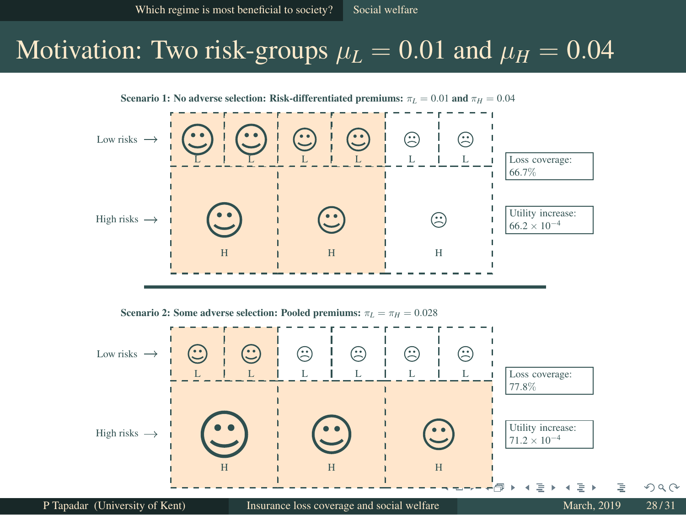### <span id="page-28-0"></span>Motivation: Two risk-groups  $\mu_L = 0.01$  and  $\mu_H = 0.04$





Scenario 2: Some adverse selection: Pooled premiums:  $\pi_L = \pi_H = 0.028$ 

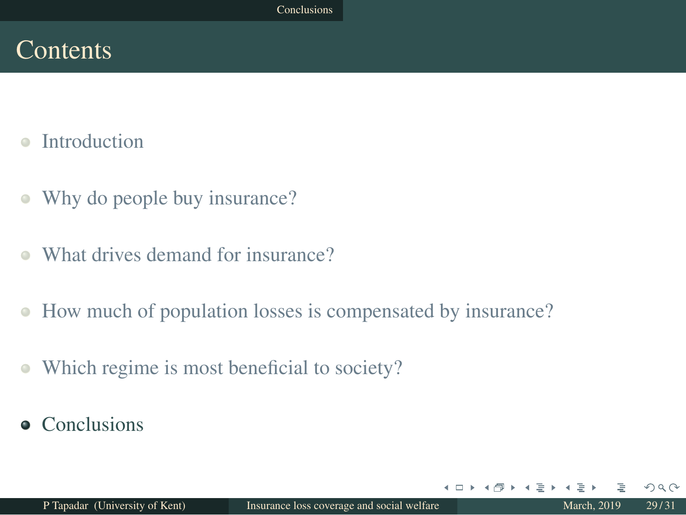### **Contents**

- [Introduction](#page-1-0)  $\triangle$
- [Why do people buy insurance?](#page-4-0)  $\bullet$
- [What drives demand for insurance?](#page-10-0)  $\bullet$
- [How much of population losses is compensated by insurance?](#page-16-0)  $\bullet$
- [Which regime is most beneficial to society?](#page-25-0)  $\bigcirc$
- [Conclusions](#page-28-0)

 $\leftarrow$   $\Box$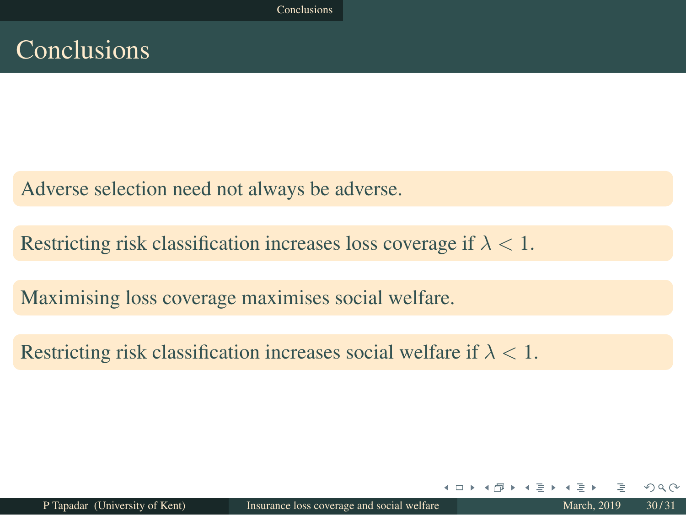### <span id="page-30-0"></span>Conclusions

Adverse selection need not always be adverse.

Restricting risk classification increases loss coverage if  $\lambda < 1$ .

Maximising loss coverage maximises social welfare.

Restricting risk classification increases social welfare if  $\lambda < 1$ .

4 □ ▶